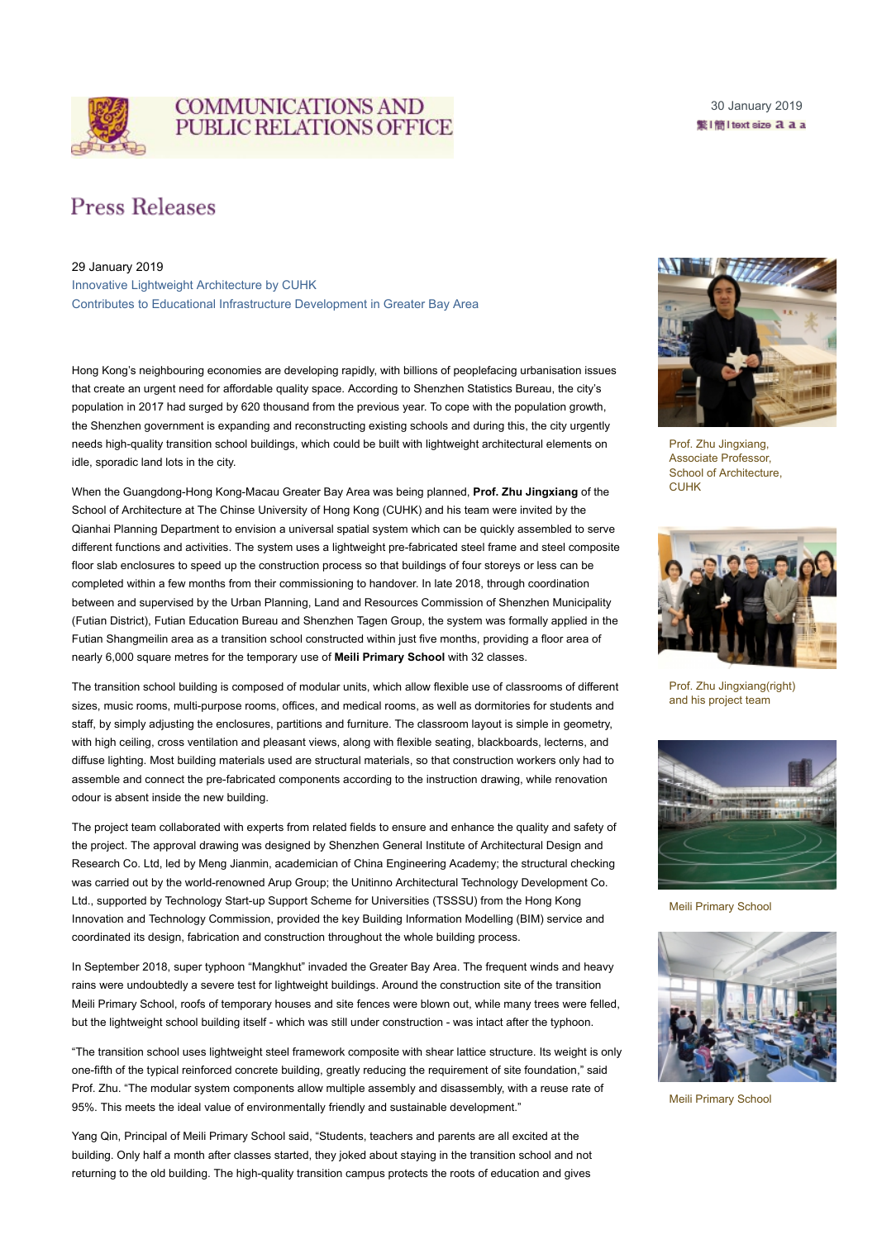

## **COMMUNICATIONS AND PUBLIC RELATIONS OFFICE**

30 January 2019 鳖l簡l text size a a a

## **Press Releases**

## 29 January 2019

Innovative Lightweight Architecture by CUHK Contributes to Educational Infrastructure Development in Greater Bay Area

Hong Kong's neighbouring economies are developing rapidly, with billions of peoplefacing urbanisation issues that create an urgent need for affordable quality space. According to Shenzhen Statistics Bureau, the city's population in 2017 had surged by 620 thousand from the previous year. To cope with the population growth, the Shenzhen government is expanding and reconstructing existing schools and during this, the city urgently needs high-quality transition school buildings, which could be built with lightweight architectural elements on idle, sporadic land lots in the city.

When the Guangdong-Hong Kong-Macau Greater Bay Area was being planned, **Prof. Zhu Jingxiang** of the School of Architecture at The Chinse University of Hong Kong (CUHK) and his team were invited by the Qianhai Planning Department to envision a universal spatial system which can be quickly assembled to serve different functions and activities. The system uses a lightweight pre-fabricated steel frame and steel composite floor slab enclosures to speed up the construction process so that buildings of four storeys or less can be completed within a few months from their commissioning to handover. In late 2018, through coordination between and supervised by the Urban Planning, Land and Resources Commission of Shenzhen Municipality (Futian District), Futian Education Bureau and Shenzhen Tagen Group, the system was formally applied in the Futian Shangmeilin area as a transition school constructed within just five months, providing a floor area of nearly 6,000 square metres for the temporary use of **Meili Primary School** with 32 classes.

The transition school building is composed of modular units, which allow flexible use of classrooms of different sizes, music rooms, multi-purpose rooms, offices, and medical rooms, as well as dormitories for students and staff, by simply adjusting the enclosures, partitions and furniture. The classroom layout is simple in geometry, with high ceiling, cross ventilation and pleasant views, along with flexible seating, blackboards, lecterns, and diffuse lighting. Most building materials used are structural materials, so that construction workers only had to assemble and connect the pre-fabricated components according to the instruction drawing, while renovation odour is absent inside the new building.

The project team collaborated with experts from related fields to ensure and enhance the quality and safety of the project. The approval drawing was designed by Shenzhen General Institute of Architectural Design and Research Co. Ltd, led by Meng Jianmin, academician of China Engineering Academy; the structural checking was carried out by the world-renowned Arup Group; the Unitinno Architectural Technology Development Co. Ltd., supported by Technology Start-up Support Scheme for Universities (TSSSU) from the Hong Kong Innovation and Technology Commission, provided the key Building Information Modelling (BIM) service and coordinated its design, fabrication and construction throughout the whole building process.

In September 2018, super typhoon "Mangkhut" invaded the Greater Bay Area. The frequent winds and heavy rains were undoubtedly a severe test for lightweight buildings. Around the construction site of the transition Meili Primary School, roofs of temporary houses and site fences were blown out, while many trees were felled, but the lightweight school building itself - which was still under construction - was intact after the typhoon.

"The transition school uses lightweight steel framework composite with shear lattice structure. Its weight is only one-fifth of the typical reinforced concrete building, greatly reducing the requirement of site foundation," said Prof. Zhu. "The modular system components allow multiple assembly and disassembly, with a reuse rate of 95%. This meets the ideal value of environmentally friendly and sustainable development."

Yang Qin, Principal of Meili Primary School said, "Students, teachers and parents are all excited at the building. Only half a month after classes started, they joked about staying in the transition school and not returning to the old building. The high-quality transition campus protects the roots of education and gives



Prof. Zhu Jingxiang, Associate Professor, School of Architecture, **CUHK** 



Prof. Zhu Jingxiang(right) and his project team



Meili Primary School



Meili Primary School